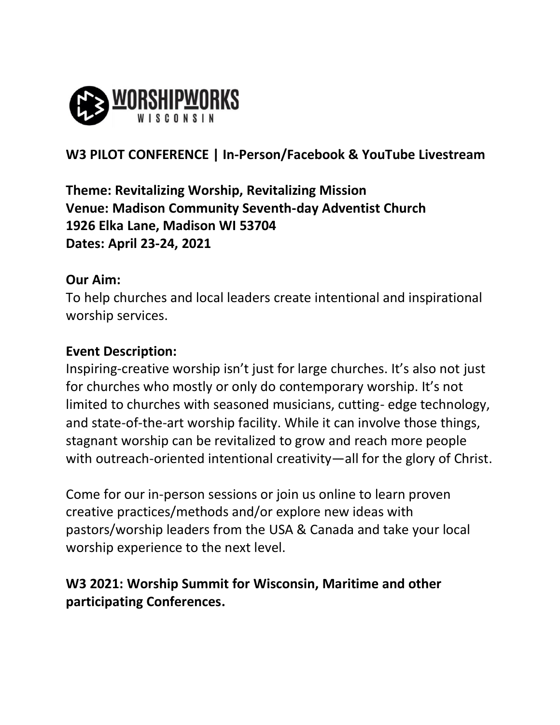

# **W3 PILOT CONFERENCE | In-Person/Facebook & YouTube Livestream**

**Theme: Revitalizing Worship, Revitalizing Mission Venue: Madison Community Seventh-day Adventist Church 1926 Elka Lane, Madison WI 53704 Dates: April 23-24, 2021**

#### **Our Aim:**

To help churches and local leaders create intentional and inspirational worship services.

#### **Event Description:**

Inspiring-creative worship isn't just for large churches. It's also not just for churches who mostly or only do contemporary worship. It's not limited to churches with seasoned musicians, cutting- edge technology, and state-of-the-art worship facility. While it can involve those things, stagnant worship can be revitalized to grow and reach more people with outreach-oriented intentional creativity—all for the glory of Christ.

Come for our in-person sessions or join us online to learn proven creative practices/methods and/or explore new ideas with pastors/worship leaders from the USA & Canada and take your local worship experience to the next level.

## **W3 2021: Worship Summit for Wisconsin, Maritime and other participating Conferences.**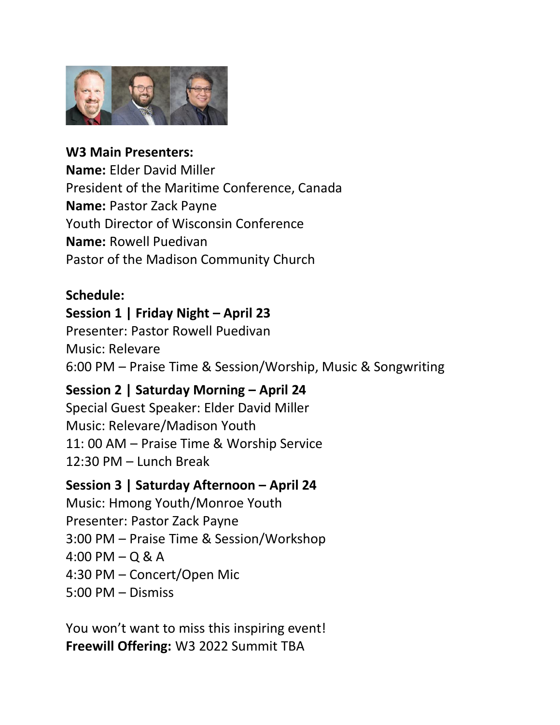

**W3 Main Presenters: Name:** Elder David Miller President of the Maritime Conference, Canada **Name:** Pastor Zack Payne Youth Director of Wisconsin Conference **Name:** Rowell Puedivan Pastor of the Madison Community Church

#### **Schedule:**

#### **Session 1 | Friday Night – April 23**

Presenter: Pastor Rowell Puedivan Music: Relevare 6:00 PM – Praise Time & Session/Worship, Music & Songwriting

### **Session 2 | Saturday Morning – April 24**

Special Guest Speaker: Elder David Miller Music: Relevare/Madison Youth 11: 00 AM – Praise Time & Worship Service 12:30 PM – Lunch Break

#### **Session 3 | Saturday Afternoon – April 24**

Music: Hmong Youth/Monroe Youth Presenter: Pastor Zack Payne 3:00 PM – Praise Time & Session/Workshop 4:00 PM – Q & A 4:30 PM – Concert/Open Mic 5:00 PM – Dismiss

You won't want to miss this inspiring event! **Freewill Offering:** W3 2022 Summit TBA